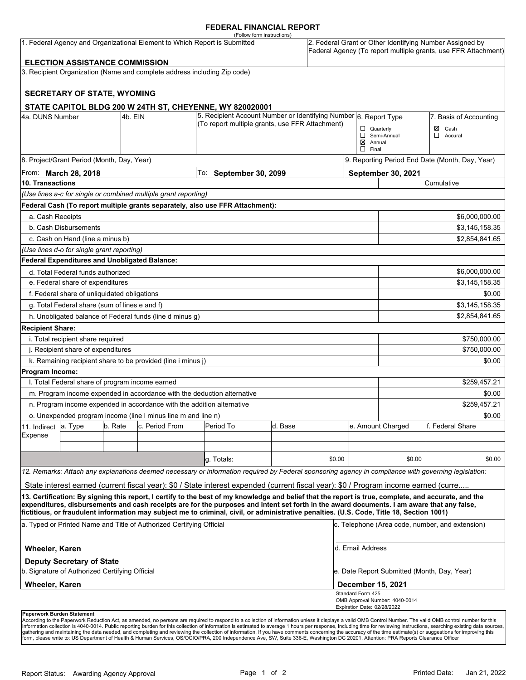### **FEDERAL FINANCIAL REPORT**

|                                                                           |                                                 |         |                                                                          | (Follow form instructions)                                                                                                                                                                                                                                                              |         |              |                                                                                                                            |                                |                                                 |  |
|---------------------------------------------------------------------------|-------------------------------------------------|---------|--------------------------------------------------------------------------|-----------------------------------------------------------------------------------------------------------------------------------------------------------------------------------------------------------------------------------------------------------------------------------------|---------|--------------|----------------------------------------------------------------------------------------------------------------------------|--------------------------------|-------------------------------------------------|--|
| 1. Federal Agency and Organizational Element to Which Report is Submitted |                                                 |         |                                                                          |                                                                                                                                                                                                                                                                                         |         |              | 2. Federal Grant or Other Identifying Number Assigned by<br>Federal Agency (To report multiple grants, use FFR Attachment) |                                |                                                 |  |
|                                                                           | <b>ELECTION ASSISTANCE COMMISSION</b>           |         |                                                                          |                                                                                                                                                                                                                                                                                         |         |              |                                                                                                                            |                                |                                                 |  |
|                                                                           |                                                 |         | 3. Recipient Organization (Name and complete address including Zip code) |                                                                                                                                                                                                                                                                                         |         |              |                                                                                                                            |                                |                                                 |  |
|                                                                           |                                                 |         |                                                                          |                                                                                                                                                                                                                                                                                         |         |              |                                                                                                                            |                                |                                                 |  |
|                                                                           | <b>SECRETARY OF STATE, WYOMING</b>              |         |                                                                          |                                                                                                                                                                                                                                                                                         |         |              |                                                                                                                            |                                |                                                 |  |
|                                                                           |                                                 |         |                                                                          | STATE CAPITOL BLDG 200 W 24TH ST, CHEYENNE, WY 820020001                                                                                                                                                                                                                                |         |              |                                                                                                                            |                                |                                                 |  |
| 4a. DUNS Number                                                           |                                                 | 4b. EIN |                                                                          | 5. Recipient Account Number or Identifying Number 6. Report Type                                                                                                                                                                                                                        |         |              |                                                                                                                            |                                | 7. Basis of Accounting                          |  |
|                                                                           |                                                 |         |                                                                          | (To report multiple grants, use FFR Attachment)                                                                                                                                                                                                                                         |         |              | $\Box$ Quarterly                                                                                                           |                                | Cash<br>⊠                                       |  |
|                                                                           |                                                 |         |                                                                          |                                                                                                                                                                                                                                                                                         |         |              | $\boxtimes$ Annual                                                                                                         | Semi-Annual                    | $\Box$<br>Accural                               |  |
|                                                                           |                                                 |         |                                                                          |                                                                                                                                                                                                                                                                                         |         |              | $\Box$ Final                                                                                                               |                                |                                                 |  |
|                                                                           | 8. Project/Grant Period (Month, Day, Year)      |         |                                                                          |                                                                                                                                                                                                                                                                                         |         |              |                                                                                                                            |                                | 9. Reporting Period End Date (Month, Day, Year) |  |
|                                                                           | From: <b>March 28, 2018</b>                     |         |                                                                          | To: September 30, 2099                                                                                                                                                                                                                                                                  |         |              |                                                                                                                            | September 30, 2021             |                                                 |  |
| <b>10. Transactions</b>                                                   |                                                 |         |                                                                          |                                                                                                                                                                                                                                                                                         |         |              |                                                                                                                            |                                | Cumulative                                      |  |
|                                                                           |                                                 |         | (Use lines a-c for single or combined multiple grant reporting)          |                                                                                                                                                                                                                                                                                         |         |              |                                                                                                                            |                                |                                                 |  |
|                                                                           |                                                 |         |                                                                          | Federal Cash (To report multiple grants separately, also use FFR Attachment):                                                                                                                                                                                                           |         |              |                                                                                                                            |                                |                                                 |  |
| a. Cash Receipts                                                          |                                                 |         |                                                                          |                                                                                                                                                                                                                                                                                         |         |              |                                                                                                                            |                                | \$6,000,000.00                                  |  |
|                                                                           | b. Cash Disbursements                           |         |                                                                          |                                                                                                                                                                                                                                                                                         |         |              |                                                                                                                            |                                | \$3,145,158.35                                  |  |
|                                                                           | c. Cash on Hand (line a minus b)                |         |                                                                          |                                                                                                                                                                                                                                                                                         |         |              |                                                                                                                            |                                | \$2,854,841.65                                  |  |
|                                                                           | (Use lines d-o for single grant reporting)      |         |                                                                          |                                                                                                                                                                                                                                                                                         |         |              |                                                                                                                            |                                |                                                 |  |
|                                                                           | Federal Expenditures and Unobligated Balance:   |         |                                                                          |                                                                                                                                                                                                                                                                                         |         |              |                                                                                                                            |                                |                                                 |  |
|                                                                           | d. Total Federal funds authorized               |         |                                                                          |                                                                                                                                                                                                                                                                                         |         |              |                                                                                                                            |                                | \$6,000,000.00                                  |  |
|                                                                           | e. Federal share of expenditures                |         |                                                                          |                                                                                                                                                                                                                                                                                         |         |              |                                                                                                                            | \$3,145,158.35                 |                                                 |  |
| f. Federal share of unliquidated obligations                              |                                                 |         |                                                                          |                                                                                                                                                                                                                                                                                         |         |              | \$0.00                                                                                                                     |                                |                                                 |  |
| g. Total Federal share (sum of lines e and f)                             |                                                 |         |                                                                          |                                                                                                                                                                                                                                                                                         |         |              | \$3,145,158.35                                                                                                             |                                |                                                 |  |
|                                                                           |                                                 |         | h. Unobligated balance of Federal funds (line d minus g)                 |                                                                                                                                                                                                                                                                                         |         |              |                                                                                                                            |                                | \$2,854,841.65                                  |  |
| <b>Recipient Share:</b>                                                   |                                                 |         |                                                                          |                                                                                                                                                                                                                                                                                         |         |              |                                                                                                                            |                                |                                                 |  |
| i. Total recipient share required                                         |                                                 |         |                                                                          |                                                                                                                                                                                                                                                                                         |         | \$750,000.00 |                                                                                                                            |                                |                                                 |  |
| j. Recipient share of expenditures                                        |                                                 |         |                                                                          |                                                                                                                                                                                                                                                                                         |         |              |                                                                                                                            | \$750,000.00                   |                                                 |  |
|                                                                           |                                                 |         | k. Remaining recipient share to be provided (line i minus j)             |                                                                                                                                                                                                                                                                                         |         |              |                                                                                                                            |                                | \$0.00                                          |  |
| Program Income:                                                           |                                                 |         |                                                                          |                                                                                                                                                                                                                                                                                         |         |              |                                                                                                                            |                                |                                                 |  |
|                                                                           | I. Total Federal share of program income earned |         |                                                                          |                                                                                                                                                                                                                                                                                         |         |              |                                                                                                                            |                                | \$259,457.21                                    |  |
|                                                                           |                                                 |         | m. Program income expended in accordance with the deduction alternative  |                                                                                                                                                                                                                                                                                         |         |              |                                                                                                                            | \$0.00                         |                                                 |  |
| n. Program income expended in accordance with the addition alternative    |                                                 |         |                                                                          |                                                                                                                                                                                                                                                                                         |         |              | \$259,457.21                                                                                                               |                                |                                                 |  |
|                                                                           |                                                 |         | o. Unexpended program income (line I minus line m and line n)            |                                                                                                                                                                                                                                                                                         |         |              |                                                                                                                            |                                | \$0.00                                          |  |
| 11. Indirect                                                              | a. Type                                         | b. Rate | c. Period From                                                           | Period To                                                                                                                                                                                                                                                                               | d. Base |              |                                                                                                                            | e. Amount Charged              | lf. Federal Share                               |  |
| Expense                                                                   |                                                 |         |                                                                          |                                                                                                                                                                                                                                                                                         |         |              |                                                                                                                            |                                |                                                 |  |
|                                                                           |                                                 |         |                                                                          |                                                                                                                                                                                                                                                                                         |         |              |                                                                                                                            |                                |                                                 |  |
|                                                                           |                                                 |         |                                                                          | g. Totals:                                                                                                                                                                                                                                                                              |         | \$0.00       |                                                                                                                            | \$0.00                         | \$0.00                                          |  |
|                                                                           |                                                 |         |                                                                          | 12. Remarks: Attach any explanations deemed necessary or information required by Federal sponsoring agency in compliance with governing legislation:                                                                                                                                    |         |              |                                                                                                                            |                                |                                                 |  |
|                                                                           |                                                 |         |                                                                          | State interest earned (current fiscal year): \$0 / State interest expended (current fiscal year): \$0 / Program income earned (curre                                                                                                                                                    |         |              |                                                                                                                            |                                |                                                 |  |
|                                                                           |                                                 |         |                                                                          | 13. Certification: By signing this report, I certify to the best of my knowledge and belief that the report is true, complete, and accurate, and the                                                                                                                                    |         |              |                                                                                                                            |                                |                                                 |  |
|                                                                           |                                                 |         |                                                                          | expenditures, disbursements and cash receipts are for the purposes and intent set forth in the award documents. I am aware that any false,<br>fictitious, or fraudulent information may subject me to criminal, civil, or administrative penalties. (U.S. Code, Title 18, Section 1001) |         |              |                                                                                                                            |                                |                                                 |  |
| a. Typed or Printed Name and Title of Authorized Certifying Official      |                                                 |         |                                                                          |                                                                                                                                                                                                                                                                                         |         |              | c. Telephone (Area code, number, and extension)                                                                            |                                |                                                 |  |
| <b>Wheeler, Karen</b>                                                     |                                                 |         |                                                                          |                                                                                                                                                                                                                                                                                         |         |              | d. Email Address                                                                                                           |                                |                                                 |  |
|                                                                           | <b>Deputy Secretary of State</b>                |         |                                                                          |                                                                                                                                                                                                                                                                                         |         |              |                                                                                                                            |                                |                                                 |  |
| b. Signature of Authorized Certifying Official                            |                                                 |         |                                                                          |                                                                                                                                                                                                                                                                                         |         |              | e. Date Report Submitted (Month, Day, Year)<br><b>December 15, 2021</b>                                                    |                                |                                                 |  |
| Wheeler, Karen                                                            |                                                 |         |                                                                          |                                                                                                                                                                                                                                                                                         |         |              | Standard Form 425                                                                                                          |                                |                                                 |  |
|                                                                           |                                                 |         |                                                                          |                                                                                                                                                                                                                                                                                         |         |              |                                                                                                                            | OMB Approval Number: 4040-0014 |                                                 |  |
| Panerwork Burden Statement                                                |                                                 |         |                                                                          |                                                                                                                                                                                                                                                                                         |         |              | Expiration Date: 02/28/2022                                                                                                |                                |                                                 |  |

**Paperwork Burden Statement**<br>According to the Paperwork Reduction Act, as amended, no persons are required to respond to a collection of information unless it displays a valid OMB Control Number. The valid OMB control numb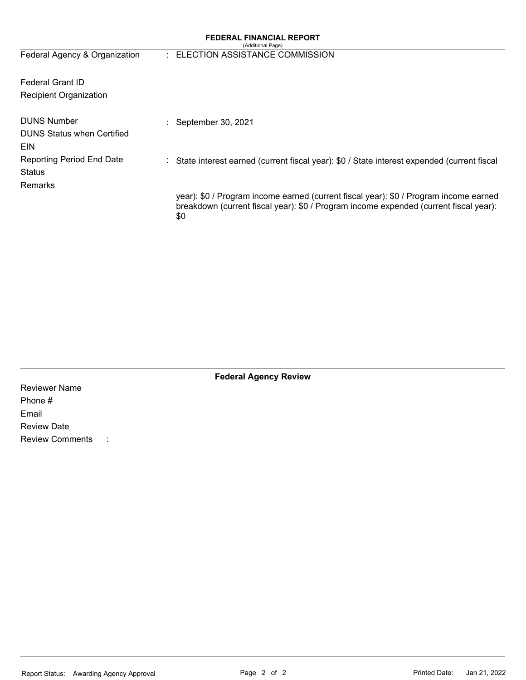### **FEDERAL FINANCIAL REPORT**

| (Additional Page) |  |
|-------------------|--|
|-------------------|--|

| Federal Agency & Organization                           | : ELECTION ASSISTANCE COMMISSION                                                                                                                                                      |
|---------------------------------------------------------|---------------------------------------------------------------------------------------------------------------------------------------------------------------------------------------|
| <b>Federal Grant ID</b>                                 |                                                                                                                                                                                       |
| Recipient Organization                                  |                                                                                                                                                                                       |
| <b>DUNS Number</b><br><b>DUNS Status when Certified</b> | : September 30, 2021                                                                                                                                                                  |
| EIN<br><b>Reporting Period End Date</b><br>Status       | State interest earned (current fiscal year): \$0 / State interest expended (current fiscal                                                                                            |
| <b>Remarks</b>                                          | year): \$0 / Program income earned (current fiscal year): \$0 / Program income earned<br>breakdown (current fiscal year): \$0 / Program income expended (current fiscal year):<br>\$0 |

**Federal Agency Review** 

Reviewer Name Phone # Email Review Date Review Comments :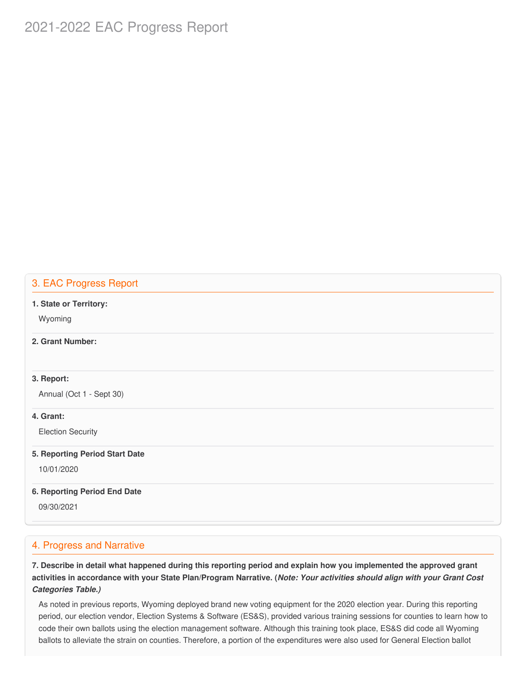# 2021-2022 EAC Progress Report

# 3. EAC Progress Report

#### **1. State or Territory:**

Wyoming

# **2. Grant Number:**

### **3. Report:**

Annual (Oct 1 - Sept 30)

### **4. Grant:**

Election Security

#### **5. Reporting Period Start Date**

10/01/2020

### **6. Reporting Period End Date**

09/30/2021

# 4. Progress and Narrative

7. Describe in detail what happened during this reporting period and explain how you implemented the approved grant activities in accordance with your State Plan/Program Narrative. (*Note: Your activities should align with your Grant Cost Categories Table.)*

 As noted in previous reports, Wyoming deployed brand new voting equipment for the 2020 election year. During this reporting period, our election vendor, Election Systems & Software (ES&S), provided various training sessions for counties to learn how to code their own ballots using the election management software. Although this training took place, ES&S did code all Wyoming ballots to alleviate the strain on counties. Therefore, a portion of the expenditures were also used for General Election ballot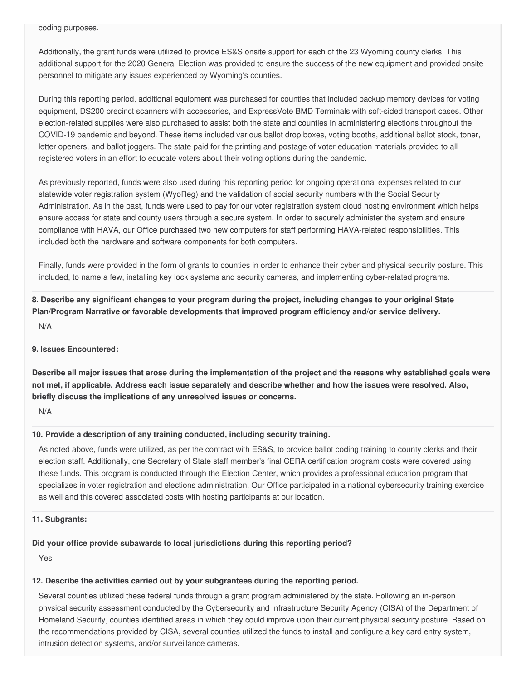coding purposes.

 Additionally, the grant funds were utilized to provide ES&S onsite support for each of the 23 Wyoming county clerks. This additional support for the 2020 General Election was provided to ensure the success of the new equipment and provided onsite personnel to mitigate any issues experienced by Wyoming's counties.

 During this reporting period, additional equipment was purchased for counties that included backup memory devices for voting equipment, DS200 precinct scanners with accessories, and ExpressVote BMD Terminals with soft-sided transport cases. Other election-related supplies were also purchased to assist both the state and counties in administering elections throughout the COVID-19 pandemic and beyond. These items included various ballot drop boxes, voting booths, additional ballot stock, toner, letter openers, and ballot joggers. The state paid for the printing and postage of voter education materials provided to all registered voters in an effort to educate voters about their voting options during the pandemic.

 As previously reported, funds were also used during this reporting period for ongoing operational expenses related to our statewide voter registration system (WyoReg) and the validation of social security numbers with the Social Security Administration. As in the past, funds were used to pay for our voter registration system cloud hosting environment which helps ensure access for state and county users through a secure system. In order to securely administer the system and ensure compliance with HAVA, our Office purchased two new computers for staff performing HAVA-related responsibilities. This included both the hardware and software components for both computers.

 Finally, funds were provided in the form of grants to counties in order to enhance their cyber and physical security posture. This included, to name a few, installing key lock systems and security cameras, and implementing cyber-related programs.

8. Describe any significant changes to your program during the project, including changes to your original State  **Plan/Program Narrative or favorable developments that improved program efficiency and/or service delivery.**

N/A

### **9. Issues Encountered:**

Describe all major issues that arose during the implementation of the project and the reasons why established goals were not met, if applicable. Address each issue separately and describe whether and how the issues were resolved. Also,  **briefly discuss the implications of any unresolved issues or concerns.**

N/A

#### **10. Provide a description of any training conducted, including security training.**

 As noted above, funds were utilized, as per the contract with ES&S, to provide ballot coding training to county clerks and their election staff. Additionally, one Secretary of State staff member's final CERA certification program costs were covered using these funds. This program is conducted through the Election Center, which provides a professional education program that specializes in voter registration and elections administration. Our Office participated in a national cybersecurity training exercise as well and this covered associated costs with hosting participants at our location.

#### **11. Subgrants:**

# **Did your office provide subawards to local jurisdictions during this reporting period?**

Yes

### **12. Describe the activities carried out by your subgrantees during the reporting period.**

 Several counties utilized these federal funds through a grant program administered by the state. Following an in-person physical security assessment conducted by the Cybersecurity and Infrastructure Security Agency (CISA) of the Department of Homeland Security, counties identified areas in which they could improve upon their current physical security posture. Based on the recommendations provided by CISA, several counties utilized the funds to install and configure a key card entry system, intrusion detection systems, and/or surveillance cameras.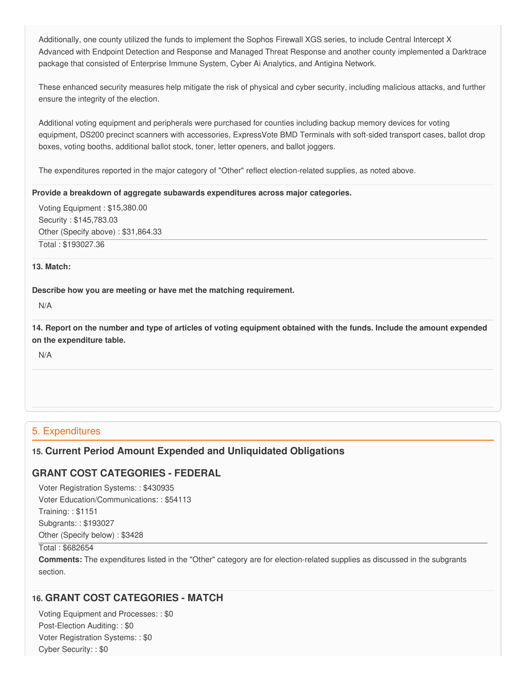Additionally, one county utilized the funds to implement the Sophos Firewall XGS series, to include Central Intercept X Advanced with Endpoint Detection and Response and Managed Threat Response and another county implemented a Darktrace package that consisted of Enterprise Immune System, Cyber Ai Analytics, and Antigina Network.

 These enhanced security measures help mitigate the risk of physical and cyber security, including malicious attacks, and further ensure the integrity of the election.

 Additional voting equipment and peripherals were purchased for counties including backup memory devices for voting equipment, DS200 precinct scanners with accessories, ExpressVote BMD Terminals with soft-sided transport cases, ballot drop boxes, voting booths, additional ballot stock, toner, letter openers, and ballot joggers.

The expenditures reported in the major category of "Other" reflect election-related supplies, as noted above.

#### **Provide a breakdown of aggregate subawards expenditures across major categories.**

 Voting Equipment : [\\$15,380.00](https://15,380.00) Security : \$[145,783.03](https://145,783.03) Other (Specify above) : [\\$31,864.33](https://31,864.33) Total : [\\$193027.36](https://193027.36)

### **13. Match:**

### **Describe how you are meeting or have met the matching requirement.**

N/A

14. Report on the number and type of articles of voting equipment obtained with the funds. Include the amount expended  **on the expenditure table.**

N/A

### 5. Expenditures

# **15. Current Period Amount Expended and Unliquidated Obligations**

# **GRANT COST CATEGORIES - FEDERAL**

 Voter Registration Systems: : \$430935 Voter Education/Communications: : \$54113

Training: : \$1151

 Subgrants: : \$193027 Other (Specify below) : \$3428

Total : \$682654

 **Comments:** The expenditures listed in the "Other" category are for election-related supplies as discussed in the subgrants section.

# **16. GRANT COST CATEGORIES - MATCH**

 Voting Equipment and Processes: : \$0 Post-Election Auditing: : \$0 Voter Registration Systems: : \$0 Cyber Security: : \$0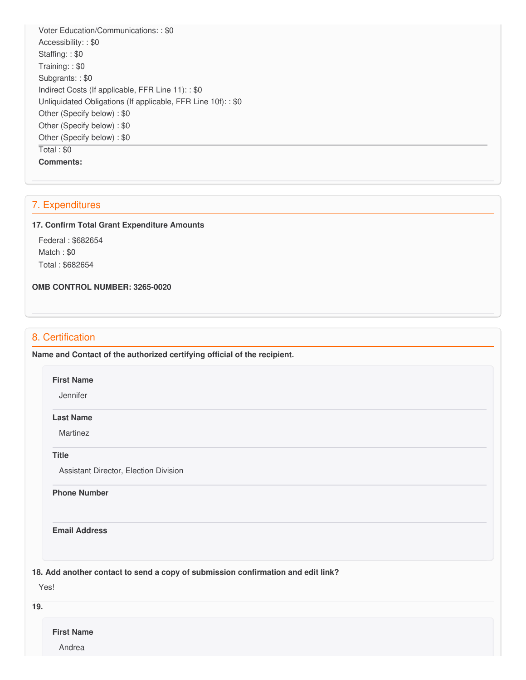Voter Education/Communications: : \$0 Accessibility: : \$0 Staffing: : \$0 Training: : \$0 Subgrants: : \$0 Indirect Costs (If applicable, FFR Line 11): : \$0 Unliquidated Obligations (If applicable, FFR Line 10f): : \$0 Other (Specify below) : \$0 Other (Specify below) : \$0 Other (Specify below) : \$0 Total : \$0 **Comments:**

# 7. Expenditures

#### **17. Confirm Total Grant Expenditure Amounts**

 Federal : \$682654 Match : \$0 Total : \$682654

 **OMB CONTROL NUMBER: 3265-0020**

# 8. Certification

 **Name and Contact of the authorized certifying official of the recipient.**

#### **First Name**

Jennifer

#### **Last Name**

Martinez

#### **Title**

Assistant Director, Election Division

**Phone Number** 

**Email Address**

 **18. Add another contact to send a copy of submission confirmation and edit link?**

Yes!

**19.**

**First Name**

Andrea